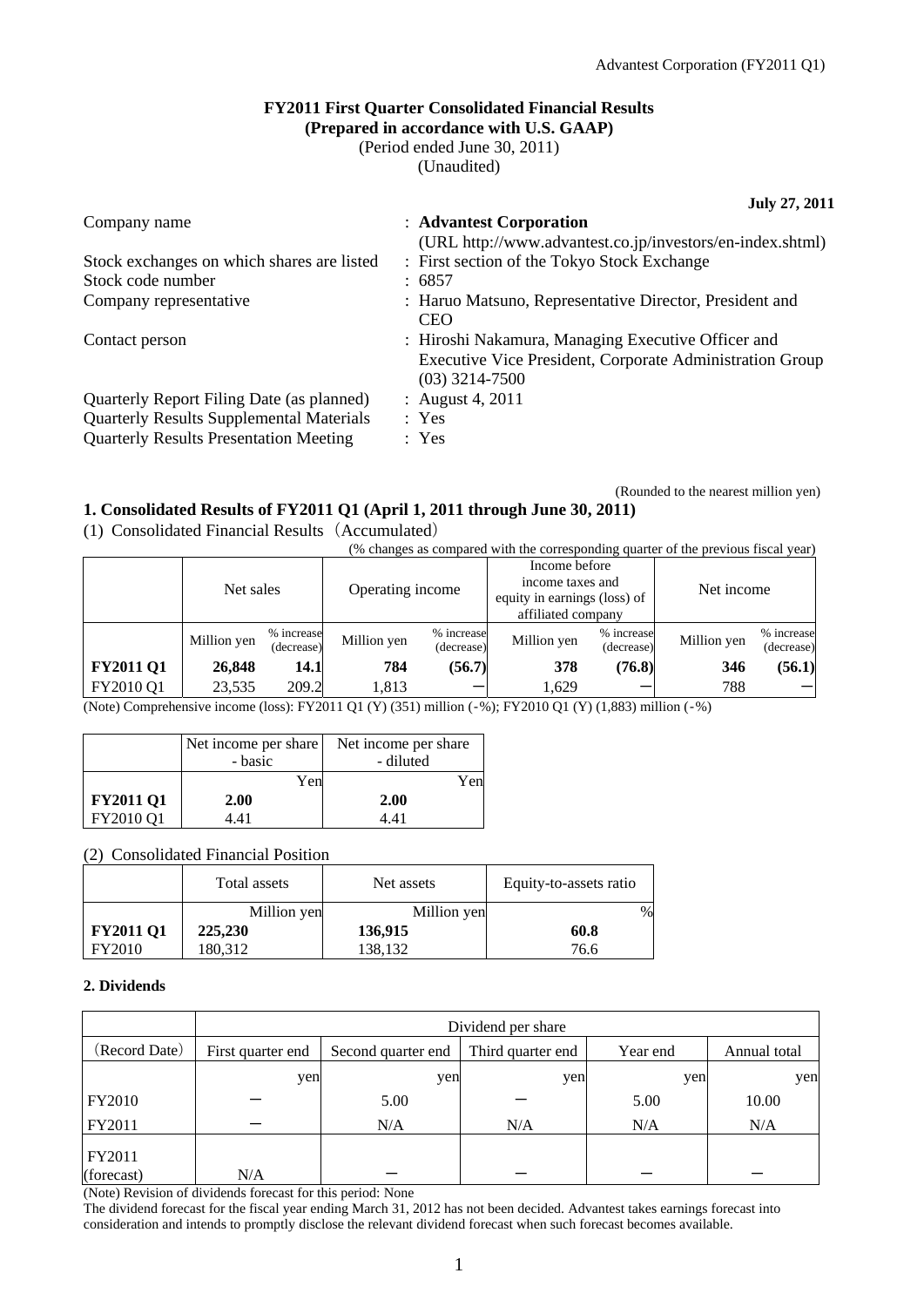(Rounded to the nearest million yen)

## **FY2011 First Quarter Consolidated Financial Results (Prepared in accordance with U.S. GAAP)**

(Period ended June 30, 2011)

(Unaudited)

**July 27, 2011** 

| Company name                                    | : Advantest Corporation<br>(URL http://www.advantest.co.jp/investors/en-index.shtml)                                               |
|-------------------------------------------------|------------------------------------------------------------------------------------------------------------------------------------|
| Stock exchanges on which shares are listed      | : First section of the Tokyo Stock Exchange                                                                                        |
| Stock code number                               | : 6857                                                                                                                             |
| Company representative                          | : Haruo Matsuno, Representative Director, President and<br><b>CEO</b>                                                              |
| Contact person                                  | : Hiroshi Nakamura, Managing Executive Officer and<br>Executive Vice President, Corporate Administration Group<br>$(03)$ 3214-7500 |
| Quarterly Report Filing Date (as planned)       | : August 4, 2011                                                                                                                   |
| <b>Quarterly Results Supplemental Materials</b> | : Yes                                                                                                                              |
| <b>Quarterly Results Presentation Meeting</b>   | : Yes                                                                                                                              |

# **1. Consolidated Results of FY2011 Q1 (April 1, 2011 through June 30, 2011)**

(1) Consolidated Financial Results(Accumulated)

(% changes as compared with the corresponding quarter of the previous fiscal year)

|                  | Net sales   |                          | Operating income |                          | Income before<br>income taxes and<br>equity in earnings (loss) of<br>affiliated company |                          | Net income  |                          |
|------------------|-------------|--------------------------|------------------|--------------------------|-----------------------------------------------------------------------------------------|--------------------------|-------------|--------------------------|
|                  | Million yen | % increase<br>(decrease) | Million yen      | % increase<br>(decrease) | Million yen                                                                             | % increase<br>(decrease) | Million yen | % increase<br>(decrease) |
| <b>FY2011 Q1</b> | 26,848      | 14.1                     | 784              | (56.7)                   | 378                                                                                     | (76.8)                   | 346         | (56.1)                   |
| FY2010 Q1        | 23,535      | 209.2                    | 1,813            |                          | 1,629                                                                                   |                          | 788         |                          |

(Note) Comprehensive income (loss): FY2011 Q1 (Y) (351) million (‐%); FY2010 Q1 (Y) (1,883) million (‐%)

|                  | Net income per share<br>- basic | Net income per share<br>- diluted |
|------------------|---------------------------------|-----------------------------------|
|                  | Yen                             | Yen                               |
| <b>FY2011 Q1</b> | 2.00                            | 2.00                              |
| FY2010 Q1        | 4441                            | 441                               |

# (2) Consolidated Financial Position

|                  | Total assets | Net assets  | Equity-to-assets ratio |
|------------------|--------------|-------------|------------------------|
|                  | Million yen  | Million yen | $\%$                   |
| <b>FY2011 Q1</b> | 225,230      | 136,915     | 60.8                   |
| FY2010           | 180,312      | 138,132     | 76.6                   |

# **2. Dividends**

|                      | Dividend per share |                    |                   |          |              |  |  |
|----------------------|--------------------|--------------------|-------------------|----------|--------------|--|--|
| (Record Date)        | First quarter end  | Second quarter end | Third quarter end | Year end | Annual total |  |  |
|                      | yen                | yen                | yen               | yen      | yen          |  |  |
| <b>FY2010</b>        |                    | 5.00               |                   | 5.00     | 10.00        |  |  |
| FY2011               |                    | N/A                | N/A               | N/A      | N/A          |  |  |
| FY2011<br>(forecast) | N/A                |                    |                   |          |              |  |  |

(Note) Revision of dividends forecast for this period: None

The dividend forecast for the fiscal year ending March 31, 2012 has not been decided. Advantest takes earnings forecast into consideration and intends to promptly disclose the relevant dividend forecast when such forecast becomes available.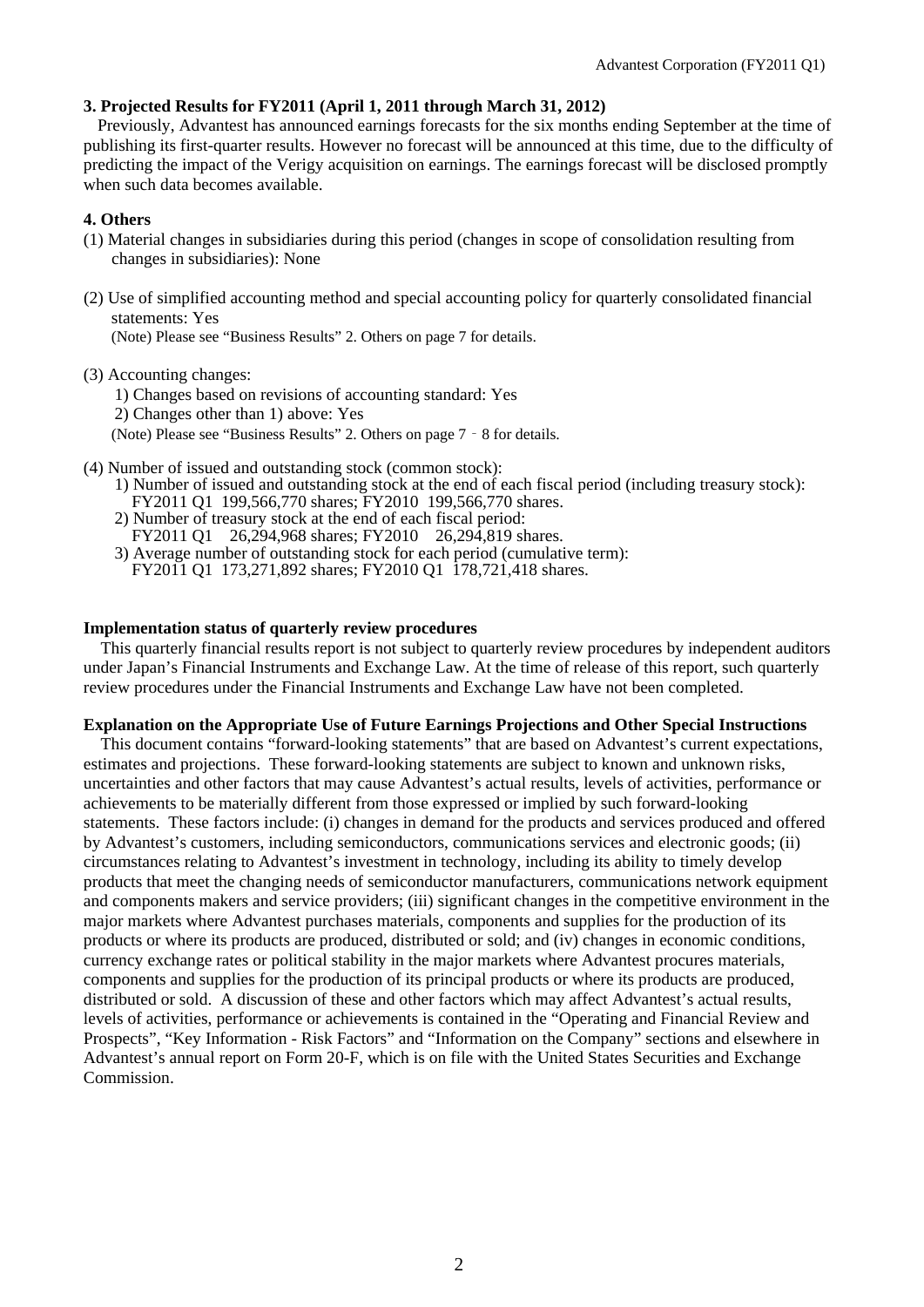# **3. Projected Results for FY2011 (April 1, 2011 through March 31, 2012)**

Previously, Advantest has announced earnings forecasts for the six months ending September at the time of publishing its first-quarter results. However no forecast will be announced at this time, due to the difficulty of predicting the impact of the Verigy acquisition on earnings. The earnings forecast will be disclosed promptly when such data becomes available.

# **4. Others**

- (1) Material changes in subsidiaries during this period (changes in scope of consolidation resulting from changes in subsidiaries): None
- (2) Use of simplified accounting method and special accounting policy for quarterly consolidated financial statements: Yes

(Note) Please see "Business Results" 2. Others on page 7 for details.

(3) Accounting changes:

1) Changes based on revisions of accounting standard: Yes

- 2) Changes other than 1) above: Yes
- (Note) Please see "Business Results" 2. Others on page 7‐8 for details.
- (4) Number of issued and outstanding stock (common stock):
	- 1) Number of issued and outstanding stock at the end of each fiscal period (including treasury stock): FY2011 Q1 199,566,770 shares; FY2010 199,566,770 shares.
	- 2) Number of treasury stock at the end of each fiscal period:
	- FY2011 Q1 26,294,968 shares; FY2010 26,294,819 shares.
	- 3) Average number of outstanding stock for each period (cumulative term): FY2011 Q1 173,271,892 shares; FY2010 Q1 178,721,418 shares.

### **Implementation status of quarterly review procedures**

This quarterly financial results report is not subject to quarterly review procedures by independent auditors under Japan's Financial Instruments and Exchange Law. At the time of release of this report, such quarterly review procedures under the Financial Instruments and Exchange Law have not been completed.

#### **Explanation on the Appropriate Use of Future Earnings Projections and Other Special Instructions**

This document contains "forward-looking statements" that are based on Advantest's current expectations, estimates and projections. These forward-looking statements are subject to known and unknown risks, uncertainties and other factors that may cause Advantest's actual results, levels of activities, performance or achievements to be materially different from those expressed or implied by such forward-looking statements. These factors include: (i) changes in demand for the products and services produced and offered by Advantest's customers, including semiconductors, communications services and electronic goods; (ii) circumstances relating to Advantest's investment in technology, including its ability to timely develop products that meet the changing needs of semiconductor manufacturers, communications network equipment and components makers and service providers; (iii) significant changes in the competitive environment in the major markets where Advantest purchases materials, components and supplies for the production of its products or where its products are produced, distributed or sold; and (iv) changes in economic conditions, currency exchange rates or political stability in the major markets where Advantest procures materials, components and supplies for the production of its principal products or where its products are produced, distributed or sold. A discussion of these and other factors which may affect Advantest's actual results, levels of activities, performance or achievements is contained in the "Operating and Financial Review and Prospects", "Key Information - Risk Factors" and "Information on the Company" sections and elsewhere in Advantest's annual report on Form 20-F, which is on file with the United States Securities and Exchange Commission.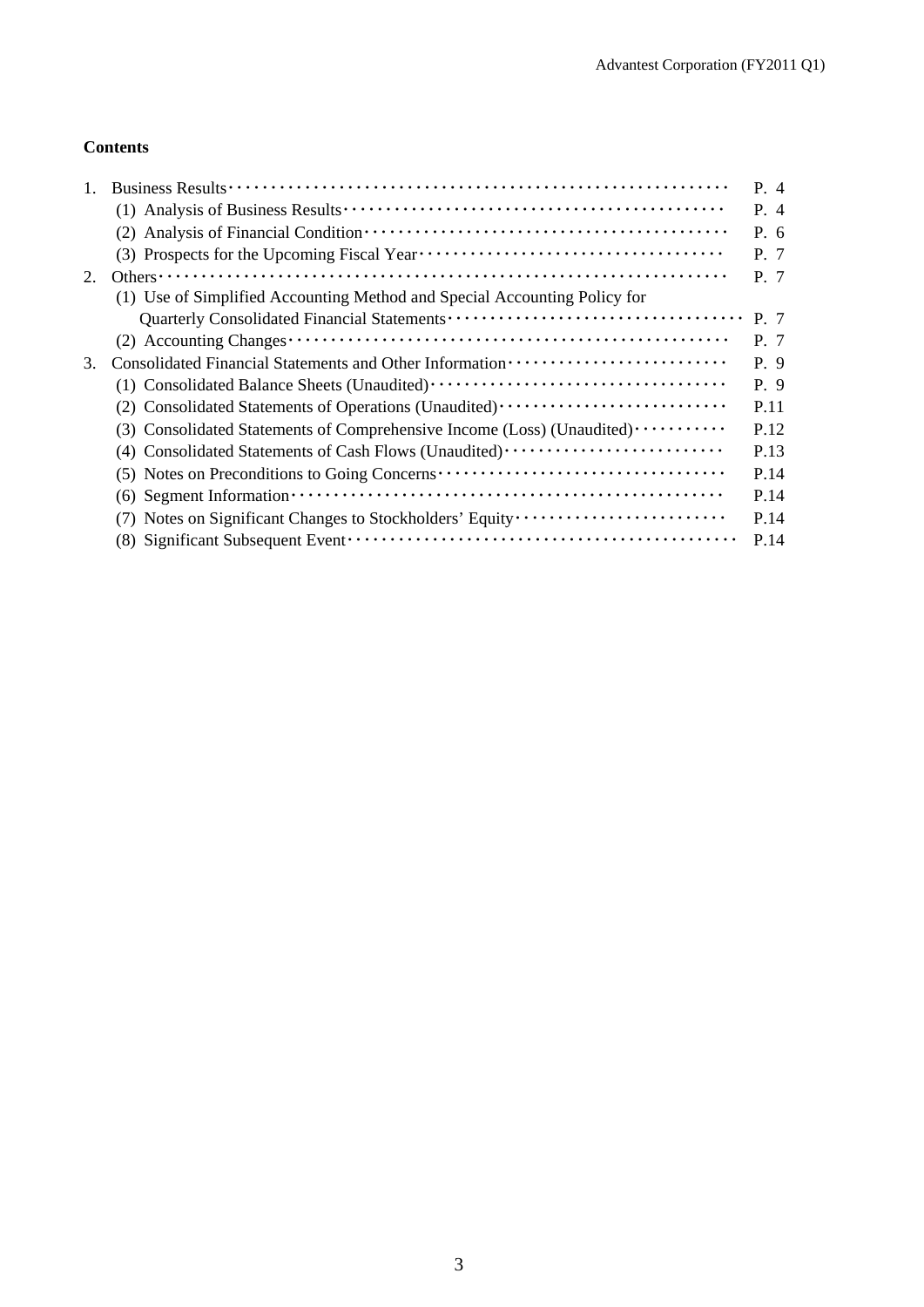# **Contents**

|    |                                                                                                                                       | P. 4    |
|----|---------------------------------------------------------------------------------------------------------------------------------------|---------|
|    |                                                                                                                                       | $P_4$   |
|    |                                                                                                                                       | P.6     |
|    |                                                                                                                                       | P. 7    |
| 2. |                                                                                                                                       | $P \t7$ |
|    | (1) Use of Simplified Accounting Method and Special Accounting Policy for                                                             |         |
|    |                                                                                                                                       | P. 7    |
|    |                                                                                                                                       | $P \t7$ |
| 3. |                                                                                                                                       | P. 9    |
|    |                                                                                                                                       | P. 9    |
|    | (2) Consolidated Statements of Operations (Unaudited)                                                                                 | P.11    |
|    | (3) Consolidated Statements of Comprehensive Income (Loss) (Unaudited)                                                                | P.12    |
|    | (4) Consolidated Statements of Cash Flows (Unaudited)                                                                                 | P.13    |
|    | (5) Notes on Preconditions to Going Concerns ···································                                                      | P.14    |
|    | $(6)$ Segment Information $\cdots$ $\cdots$ $\cdots$ $\cdots$ $\cdots$ $\cdots$ $\cdots$ $\cdots$ $\cdots$ $\cdots$ $\cdots$ $\cdots$ | P.14    |
|    | (7) Notes on Significant Changes to Stockholders' Equity                                                                              | P.14    |
|    |                                                                                                                                       | P.14    |
|    |                                                                                                                                       |         |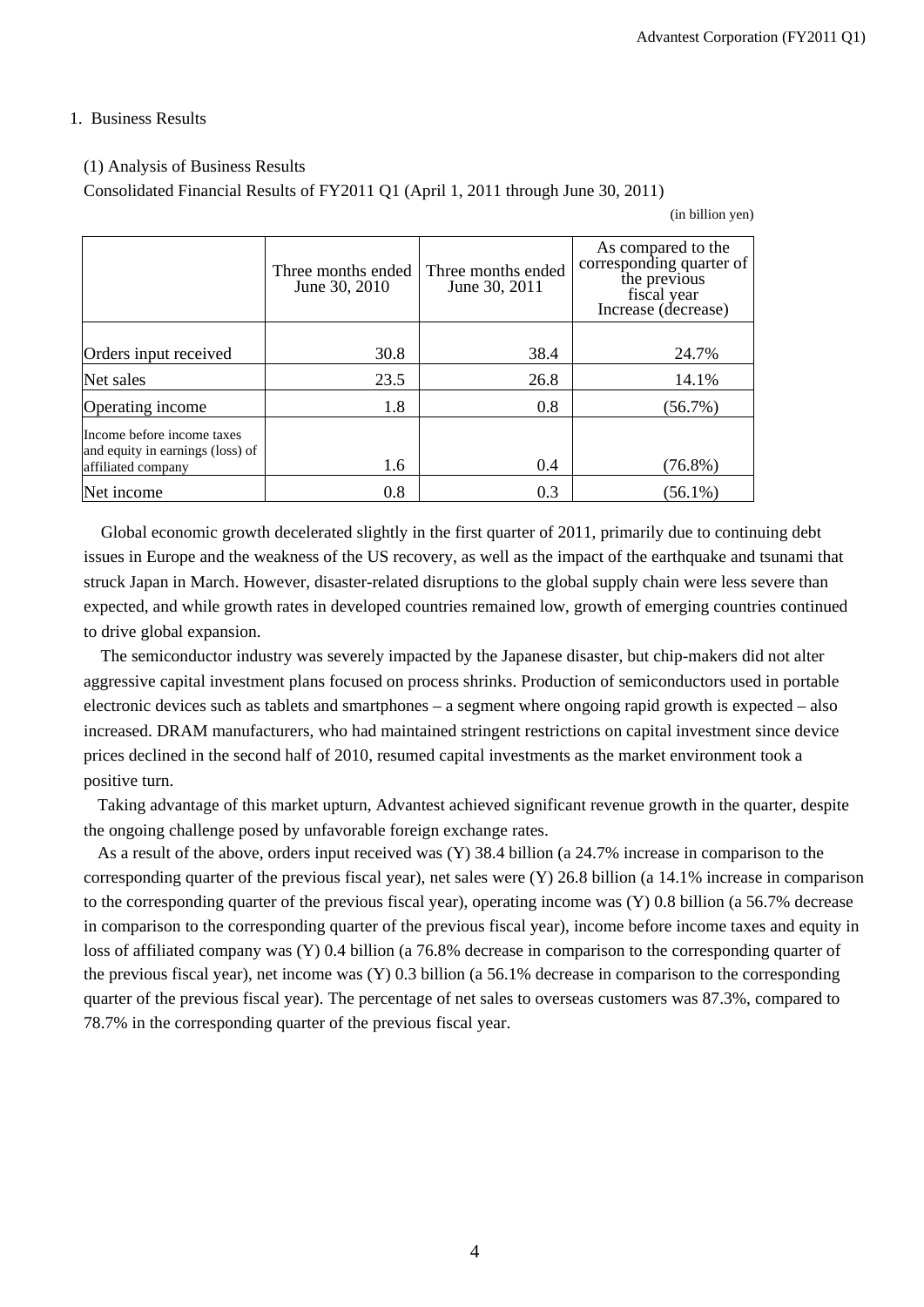## 1. Business Results

## (1) Analysis of Business Results

Consolidated Financial Results of FY2011 Q1 (April 1, 2011 through June 30, 2011)

(in billion yen)

|                                                                                      | Three months ended<br>June 30, 2010 | Three months ended<br>June 30, 2011 | As compared to the<br>corresponding quarter of<br>the previous<br>fiscal year<br>Increase (decrease) |
|--------------------------------------------------------------------------------------|-------------------------------------|-------------------------------------|------------------------------------------------------------------------------------------------------|
| Orders input received                                                                | 30.8                                | 38.4                                | 24.7%                                                                                                |
| Net sales                                                                            | 23.5                                | 26.8                                | 14.1%                                                                                                |
| Operating income                                                                     | 1.8                                 | 0.8                                 | $(56.7\%)$                                                                                           |
| Income before income taxes<br>and equity in earnings (loss) of<br>affiliated company | 1.6                                 | 0.4                                 | $(76.8\%)$                                                                                           |
| Net income                                                                           | 0.8                                 | 0.3                                 | $(56.1\%)$                                                                                           |

Global economic growth decelerated slightly in the first quarter of 2011, primarily due to continuing debt issues in Europe and the weakness of the US recovery, as well as the impact of the earthquake and tsunami that struck Japan in March. However, disaster-related disruptions to the global supply chain were less severe than expected, and while growth rates in developed countries remained low, growth of emerging countries continued to drive global expansion.

The semiconductor industry was severely impacted by the Japanese disaster, but chip-makers did not alter aggressive capital investment plans focused on process shrinks. Production of semiconductors used in portable electronic devices such as tablets and smartphones – a segment where ongoing rapid growth is expected – also increased. DRAM manufacturers, who had maintained stringent restrictions on capital investment since device prices declined in the second half of 2010, resumed capital investments as the market environment took a positive turn.

Taking advantage of this market upturn, Advantest achieved significant revenue growth in the quarter, despite the ongoing challenge posed by unfavorable foreign exchange rates.

As a result of the above, orders input received was (Y) 38.4 billion (a 24.7% increase in comparison to the corresponding quarter of the previous fiscal year), net sales were (Y) 26.8 billion (a 14.1% increase in comparison to the corresponding quarter of the previous fiscal year), operating income was (Y) 0.8 billion (a 56.7% decrease in comparison to the corresponding quarter of the previous fiscal year), income before income taxes and equity in loss of affiliated company was (Y) 0.4 billion (a 76.8% decrease in comparison to the corresponding quarter of the previous fiscal year), net income was (Y) 0.3 billion (a 56.1% decrease in comparison to the corresponding quarter of the previous fiscal year). The percentage of net sales to overseas customers was 87.3%, compared to 78.7% in the corresponding quarter of the previous fiscal year.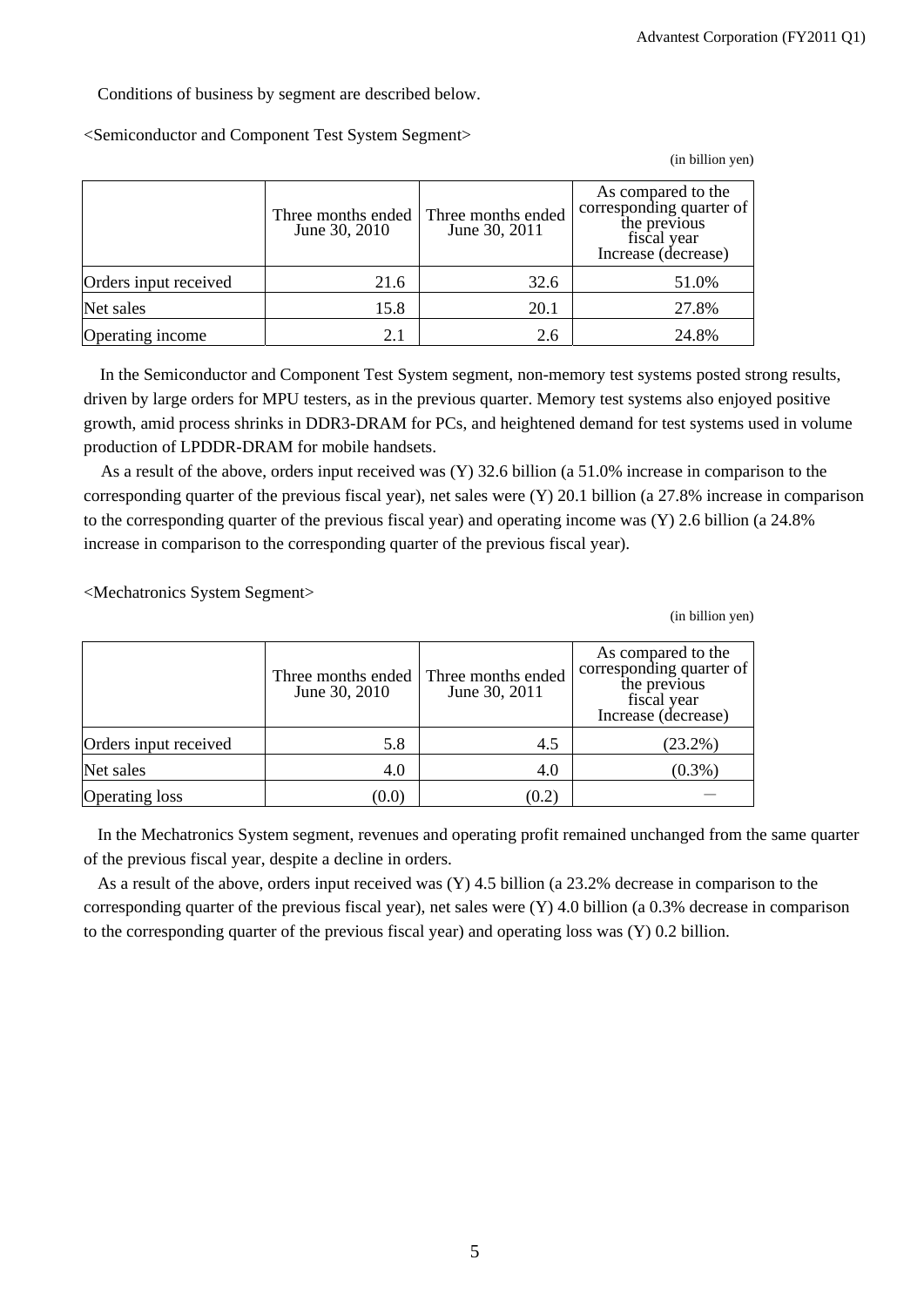Conditions of business by segment are described below.

<Semiconductor and Component Test System Segment>

(in billion yen)

|                       | Three months ended<br>June 30, 2010 | Three months ended<br>June 30, 2011 | As compared to the<br>corresponding quarter of<br>the previous<br>fiscal year<br>Increase (decrease) |
|-----------------------|-------------------------------------|-------------------------------------|------------------------------------------------------------------------------------------------------|
| Orders input received | 21.6                                | 32.6                                | 51.0%                                                                                                |
| Net sales             | 15.8                                | 20.1                                | 27.8%                                                                                                |
| Operating income      | 2.1                                 | 2.6                                 | 24.8%                                                                                                |

In the Semiconductor and Component Test System segment, non-memory test systems posted strong results, driven by large orders for MPU testers, as in the previous quarter. Memory test systems also enjoyed positive growth, amid process shrinks in DDR3-DRAM for PCs, and heightened demand for test systems used in volume production of LPDDR-DRAM for mobile handsets.

As a result of the above, orders input received was (Y) 32.6 billion (a 51.0% increase in comparison to the corresponding quarter of the previous fiscal year), net sales were (Y) 20.1 billion (a 27.8% increase in comparison to the corresponding quarter of the previous fiscal year) and operating income was (Y) 2.6 billion (a 24.8% increase in comparison to the corresponding quarter of the previous fiscal year).

<Mechatronics System Segment>

(in billion yen)

|                       | Three months ended<br>June 30, 2010 | Three months ended<br>June 30, 2011 | As compared to the<br>corresponding quarter of<br>the previous<br>fiscal year<br>Increase (decrease) |
|-----------------------|-------------------------------------|-------------------------------------|------------------------------------------------------------------------------------------------------|
| Orders input received | 5.8                                 | 4.5                                 | $(23.2\%)$                                                                                           |
| Net sales             | 4.0                                 | 4.0                                 | $(0.3\%)$                                                                                            |
| Operating loss        | (0.0)                               | (0.2)                               |                                                                                                      |

In the Mechatronics System segment, revenues and operating profit remained unchanged from the same quarter of the previous fiscal year, despite a decline in orders.

As a result of the above, orders input received was (Y) 4.5 billion (a 23.2% decrease in comparison to the corresponding quarter of the previous fiscal year), net sales were (Y) 4.0 billion (a 0.3% decrease in comparison to the corresponding quarter of the previous fiscal year) and operating loss was (Y) 0.2 billion.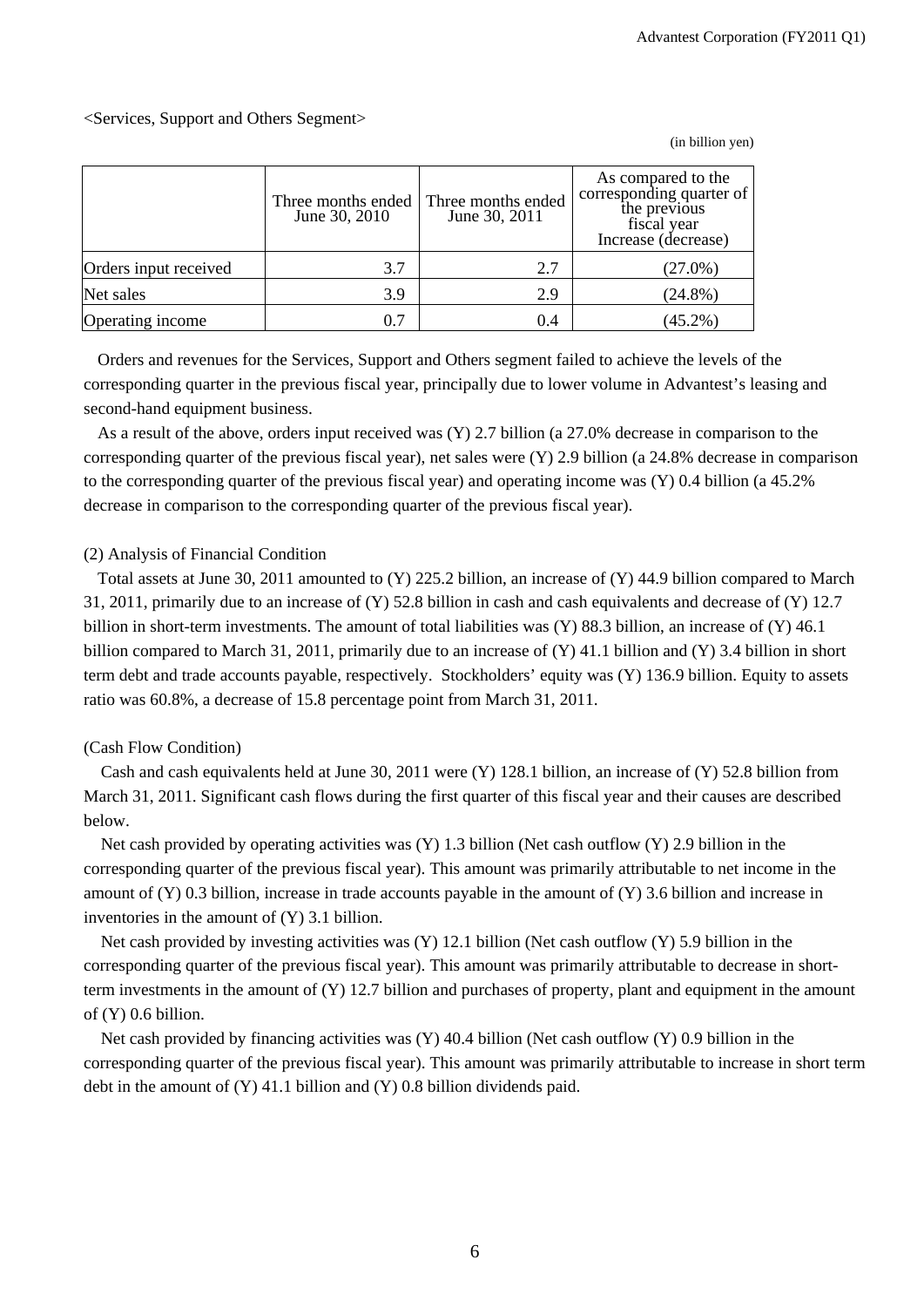# <Services, Support and Others Segment>

Three months ended June 30, 2010 Three months ended June 30, 2011 As compared to the corresponding quarter of the previous fiscal year Increase (decrease) Orders input received 3.7 2.7 (27.0%) Net sales 2.9 2.9 (24.8%) Operating income  $0.7 \quad | \quad 0.4 \quad | \quad 45.2\%$ 

Orders and revenues for the Services, Support and Others segment failed to achieve the levels of the corresponding quarter in the previous fiscal year, principally due to lower volume in Advantest's leasing and second-hand equipment business.

As a result of the above, orders input received was (Y) 2.7 billion (a 27.0% decrease in comparison to the corresponding quarter of the previous fiscal year), net sales were (Y) 2.9 billion (a 24.8% decrease in comparison to the corresponding quarter of the previous fiscal year) and operating income was (Y) 0.4 billion (a 45.2% decrease in comparison to the corresponding quarter of the previous fiscal year).

# (2) Analysis of Financial Condition

Total assets at June 30, 2011 amounted to (Y) 225.2 billion, an increase of (Y) 44.9 billion compared to March 31, 2011, primarily due to an increase of (Y) 52.8 billion in cash and cash equivalents and decrease of (Y) 12.7 billion in short-term investments. The amount of total liabilities was (Y) 88.3 billion, an increase of (Y) 46.1 billion compared to March 31, 2011, primarily due to an increase of (Y) 41.1 billion and (Y) 3.4 billion in short term debt and trade accounts payable, respectively. Stockholders' equity was (Y) 136.9 billion. Equity to assets ratio was 60.8%, a decrease of 15.8 percentage point from March 31, 2011.

#### (Cash Flow Condition)

Cash and cash equivalents held at June 30, 2011 were (Y) 128.1 billion, an increase of (Y) 52.8 billion from March 31, 2011. Significant cash flows during the first quarter of this fiscal year and their causes are described below.

Net cash provided by operating activities was (Y) 1.3 billion (Net cash outflow (Y) 2.9 billion in the corresponding quarter of the previous fiscal year). This amount was primarily attributable to net income in the amount of (Y) 0.3 billion, increase in trade accounts payable in the amount of (Y) 3.6 billion and increase in inventories in the amount of (Y) 3.1 billion.

Net cash provided by investing activities was (Y) 12.1 billion (Net cash outflow (Y) 5.9 billion in the corresponding quarter of the previous fiscal year). This amount was primarily attributable to decrease in shortterm investments in the amount of (Y) 12.7 billion and purchases of property, plant and equipment in the amount of (Y) 0.6 billion.

Net cash provided by financing activities was (Y) 40.4 billion (Net cash outflow (Y) 0.9 billion in the corresponding quarter of the previous fiscal year). This amount was primarily attributable to increase in short term debt in the amount of (Y) 41.1 billion and (Y) 0.8 billion dividends paid.

(in billion yen)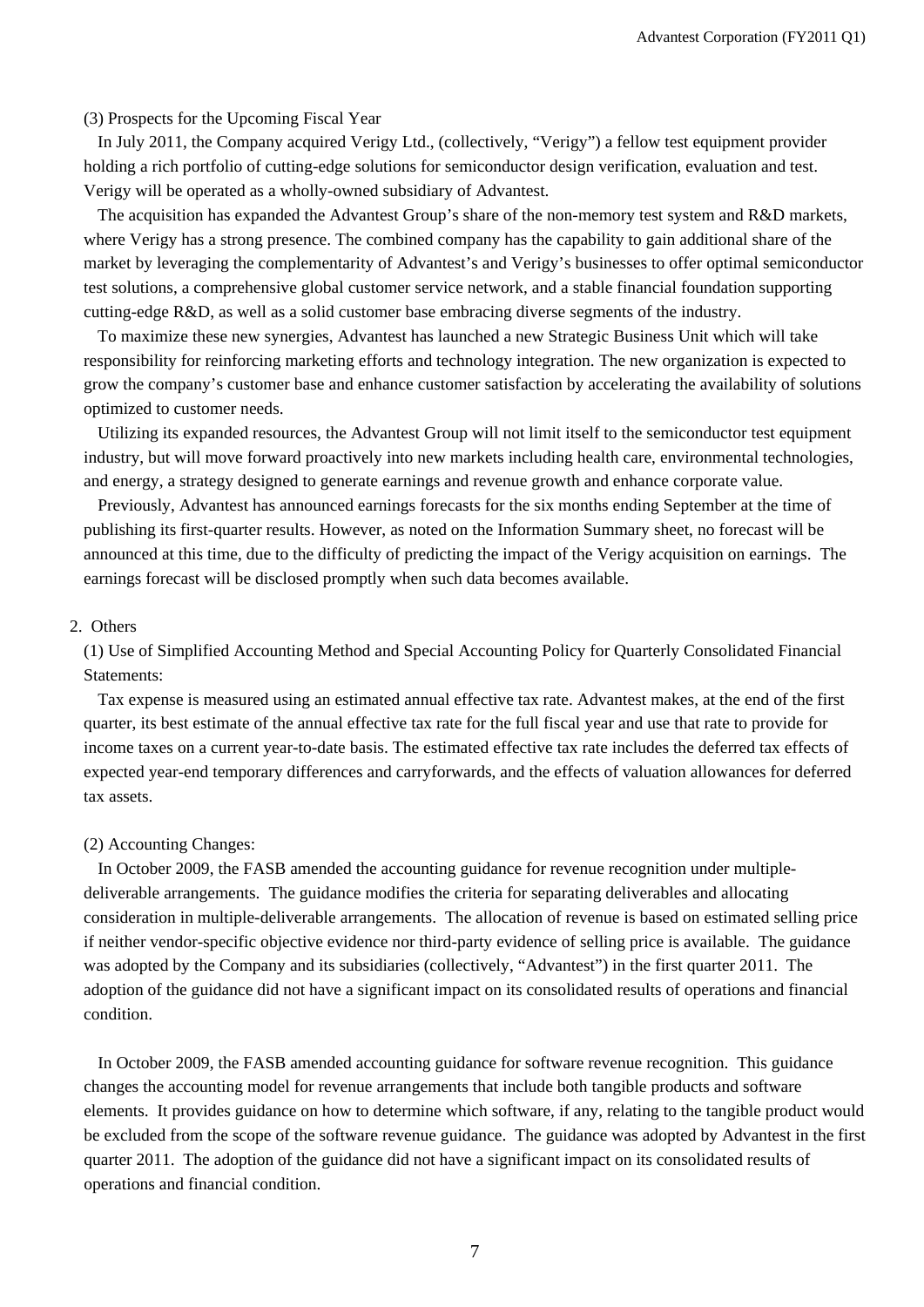#### (3) Prospects for the Upcoming Fiscal Year

In July 2011, the Company acquired Verigy Ltd., (collectively, "Verigy") a fellow test equipment provider holding a rich portfolio of cutting-edge solutions for semiconductor design verification, evaluation and test. Verigy will be operated as a wholly-owned subsidiary of Advantest.

The acquisition has expanded the Advantest Group's share of the non-memory test system and R&D markets, where Verigy has a strong presence. The combined company has the capability to gain additional share of the market by leveraging the complementarity of Advantest's and Verigy's businesses to offer optimal semiconductor test solutions, a comprehensive global customer service network, and a stable financial foundation supporting cutting-edge R&D, as well as a solid customer base embracing diverse segments of the industry.

To maximize these new synergies, Advantest has launched a new Strategic Business Unit which will take responsibility for reinforcing marketing efforts and technology integration. The new organization is expected to grow the company's customer base and enhance customer satisfaction by accelerating the availability of solutions optimized to customer needs.

Utilizing its expanded resources, the Advantest Group will not limit itself to the semiconductor test equipment industry, but will move forward proactively into new markets including health care, environmental technologies, and energy, a strategy designed to generate earnings and revenue growth and enhance corporate value.

Previously, Advantest has announced earnings forecasts for the six months ending September at the time of publishing its first-quarter results. However, as noted on the Information Summary sheet, no forecast will be announced at this time, due to the difficulty of predicting the impact of the Verigy acquisition on earnings. The earnings forecast will be disclosed promptly when such data becomes available.

#### 2. Others

(1) Use of Simplified Accounting Method and Special Accounting Policy for Quarterly Consolidated Financial Statements:

Tax expense is measured using an estimated annual effective tax rate. Advantest makes, at the end of the first quarter, its best estimate of the annual effective tax rate for the full fiscal year and use that rate to provide for income taxes on a current year-to-date basis. The estimated effective tax rate includes the deferred tax effects of expected year-end temporary differences and carryforwards, and the effects of valuation allowances for deferred tax assets.

#### (2) Accounting Changes:

In October 2009, the FASB amended the accounting guidance for revenue recognition under multipledeliverable arrangements. The guidance modifies the criteria for separating deliverables and allocating consideration in multiple-deliverable arrangements. The allocation of revenue is based on estimated selling price if neither vendor-specific objective evidence nor third-party evidence of selling price is available. The guidance was adopted by the Company and its subsidiaries (collectively, "Advantest") in the first quarter 2011. The adoption of the guidance did not have a significant impact on its consolidated results of operations and financial condition.

In October 2009, the FASB amended accounting guidance for software revenue recognition. This guidance changes the accounting model for revenue arrangements that include both tangible products and software elements. It provides guidance on how to determine which software, if any, relating to the tangible product would be excluded from the scope of the software revenue guidance. The guidance was adopted by Advantest in the first quarter 2011. The adoption of the guidance did not have a significant impact on its consolidated results of operations and financial condition.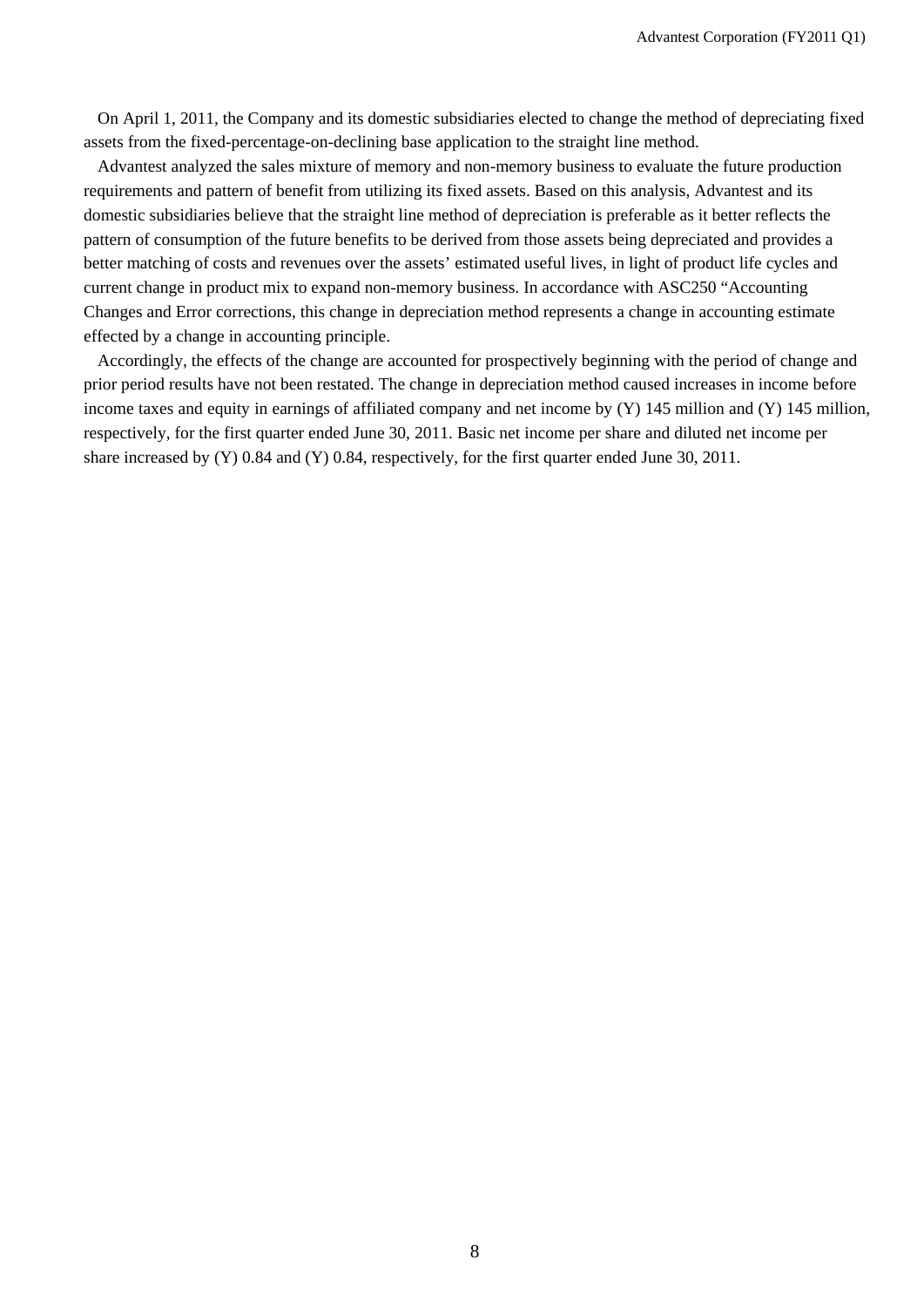On April 1, 2011, the Company and its domestic subsidiaries elected to change the method of depreciating fixed assets from the fixed-percentage-on-declining base application to the straight line method.

Advantest analyzed the sales mixture of memory and non-memory business to evaluate the future production requirements and pattern of benefit from utilizing its fixed assets. Based on this analysis, Advantest and its domestic subsidiaries believe that the straight line method of depreciation is preferable as it better reflects the pattern of consumption of the future benefits to be derived from those assets being depreciated and provides a better matching of costs and revenues over the assets' estimated useful lives, in light of product life cycles and current change in product mix to expand non-memory business. In accordance with ASC250 "Accounting Changes and Error corrections, this change in depreciation method represents a change in accounting estimate effected by a change in accounting principle.

Accordingly, the effects of the change are accounted for prospectively beginning with the period of change and prior period results have not been restated. The change in depreciation method caused increases in income before income taxes and equity in earnings of affiliated company and net income by (Y) 145 million and (Y) 145 million, respectively, for the first quarter ended June 30, 2011. Basic net income per share and diluted net income per share increased by (Y) 0.84 and (Y) 0.84, respectively, for the first quarter ended June 30, 2011.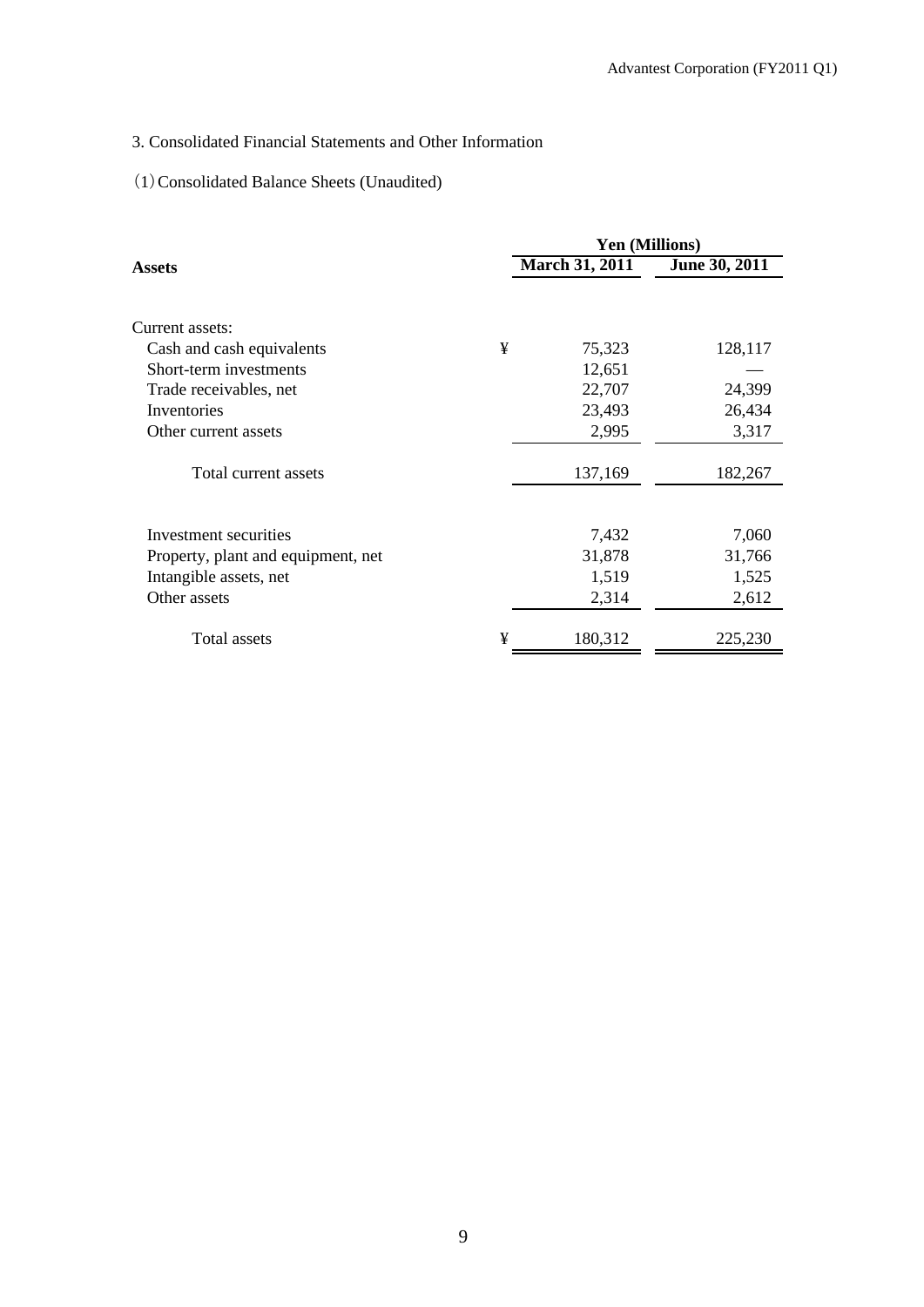# 3. Consolidated Financial Statements and Other Information

# (1)Consolidated Balance Sheets (Unaudited)

|                                    |   | <b>Yen (Millions)</b> |               |
|------------------------------------|---|-----------------------|---------------|
| Assets                             |   | <b>March 31, 2011</b> | June 30, 2011 |
|                                    |   |                       |               |
| Current assets:                    |   |                       |               |
| Cash and cash equivalents          | ¥ | 75,323                | 128,117       |
| Short-term investments             |   | 12,651                |               |
| Trade receivables, net             |   | 22,707                | 24,399        |
| Inventories                        |   | 23,493                | 26,434        |
| Other current assets               |   | 2,995                 | 3,317         |
| Total current assets               |   | 137,169               | 182,267       |
|                                    |   |                       |               |
| Investment securities              |   | 7,432                 | 7,060         |
| Property, plant and equipment, net |   | 31,878                | 31,766        |
| Intangible assets, net             |   | 1,519                 | 1,525         |
| Other assets                       |   | 2,314                 | 2,612         |
| Total assets                       | ¥ | 180,312               | 225,230       |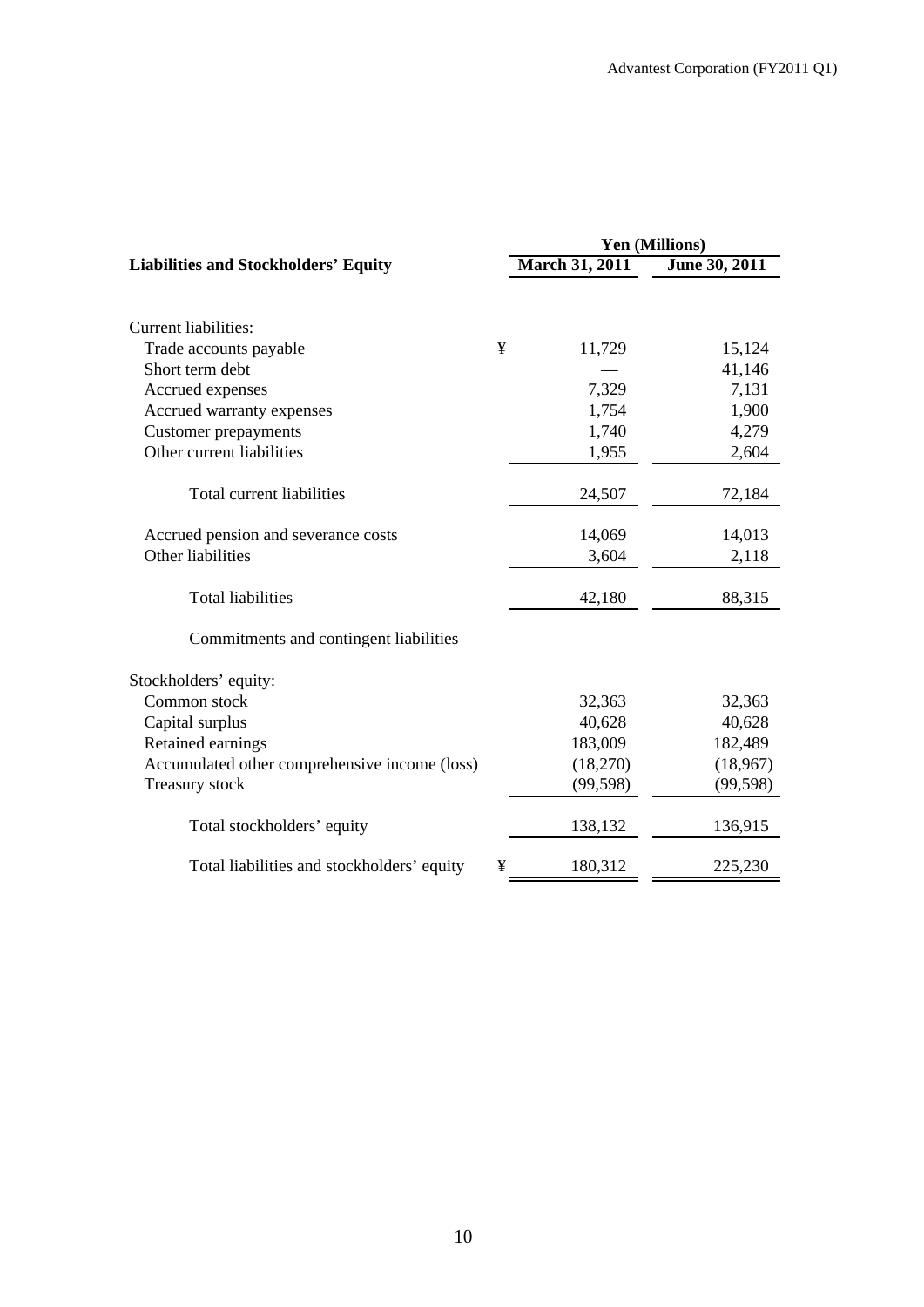|                                               |   |                       | <b>Yen (Millions)</b> |
|-----------------------------------------------|---|-----------------------|-----------------------|
| <b>Liabilities and Stockholders' Equity</b>   |   | <b>March 31, 2011</b> | June 30, 2011         |
|                                               |   |                       |                       |
| <b>Current liabilities:</b>                   |   |                       |                       |
| Trade accounts payable                        | ¥ | 11,729                | 15,124                |
| Short term debt                               |   |                       | 41,146                |
| Accrued expenses                              |   | 7,329                 | 7,131                 |
| Accrued warranty expenses                     |   | 1,754                 | 1,900                 |
| <b>Customer prepayments</b>                   |   | 1,740                 | 4,279                 |
| Other current liabilities                     |   | 1,955                 | 2,604                 |
| Total current liabilities                     |   | 24,507                | 72,184                |
| Accrued pension and severance costs           |   | 14,069                | 14,013                |
| Other liabilities                             |   | 3,604                 | 2,118                 |
| <b>Total liabilities</b>                      |   | 42,180                | 88,315                |
| Commitments and contingent liabilities        |   |                       |                       |
| Stockholders' equity:                         |   |                       |                       |
| Common stock                                  |   | 32,363                | 32,363                |
| Capital surplus                               |   | 40,628                | 40,628                |
| Retained earnings                             |   | 183,009               | 182,489               |
| Accumulated other comprehensive income (loss) |   | (18,270)              | (18,967)              |
| Treasury stock                                |   | (99, 598)             | (99, 598)             |
| Total stockholders' equity                    |   | 138,132               | 136,915               |
| Total liabilities and stockholders' equity    | ¥ | 180,312               | 225,230               |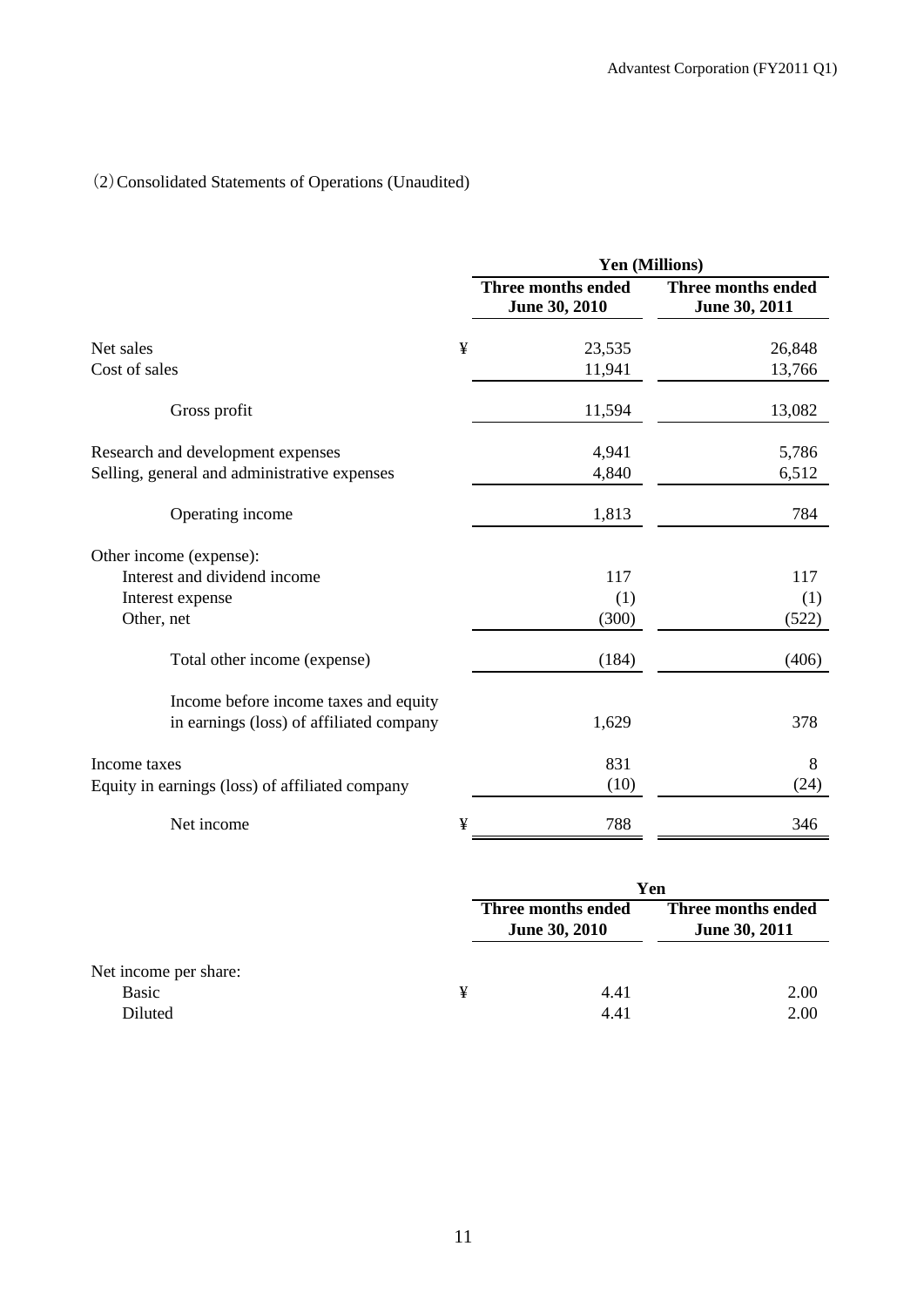# (2)Consolidated Statements of Operations (Unaudited)

|                                                                                   |   | Yen (Millions)                      |                                            |  |
|-----------------------------------------------------------------------------------|---|-------------------------------------|--------------------------------------------|--|
|                                                                                   |   | Three months ended<br>June 30, 2010 | <b>Three months ended</b><br>June 30, 2011 |  |
| Net sales                                                                         | ¥ | 23,535                              | 26,848                                     |  |
| Cost of sales                                                                     |   | 11,941                              | 13,766                                     |  |
| Gross profit                                                                      |   | 11,594                              | 13,082                                     |  |
| Research and development expenses                                                 |   | 4,941                               | 5,786                                      |  |
| Selling, general and administrative expenses                                      |   | 4,840                               | 6,512                                      |  |
| Operating income                                                                  |   | 1,813                               | 784                                        |  |
| Other income (expense):                                                           |   |                                     |                                            |  |
| Interest and dividend income                                                      |   | 117                                 | 117                                        |  |
| Interest expense                                                                  |   | (1)                                 | (1)                                        |  |
| Other, net                                                                        |   | (300)                               | (522)                                      |  |
| Total other income (expense)                                                      |   | (184)                               | (406)                                      |  |
| Income before income taxes and equity<br>in earnings (loss) of affiliated company |   | 1,629                               | 378                                        |  |
| Income taxes                                                                      |   | 831                                 | 8                                          |  |
| Equity in earnings (loss) of affiliated company                                   |   | (10)                                | (24)                                       |  |
| Net income                                                                        | ¥ | 788                                 | 346                                        |  |

|                       |   | Yen                                        |                                            |  |
|-----------------------|---|--------------------------------------------|--------------------------------------------|--|
|                       |   | Three months ended<br><b>June 30, 2010</b> | Three months ended<br><b>June 30, 2011</b> |  |
| Net income per share: |   |                                            |                                            |  |
| Basic                 | ¥ | 4.41                                       | 2.00                                       |  |
| Diluted               |   | 4.41                                       | 2.00                                       |  |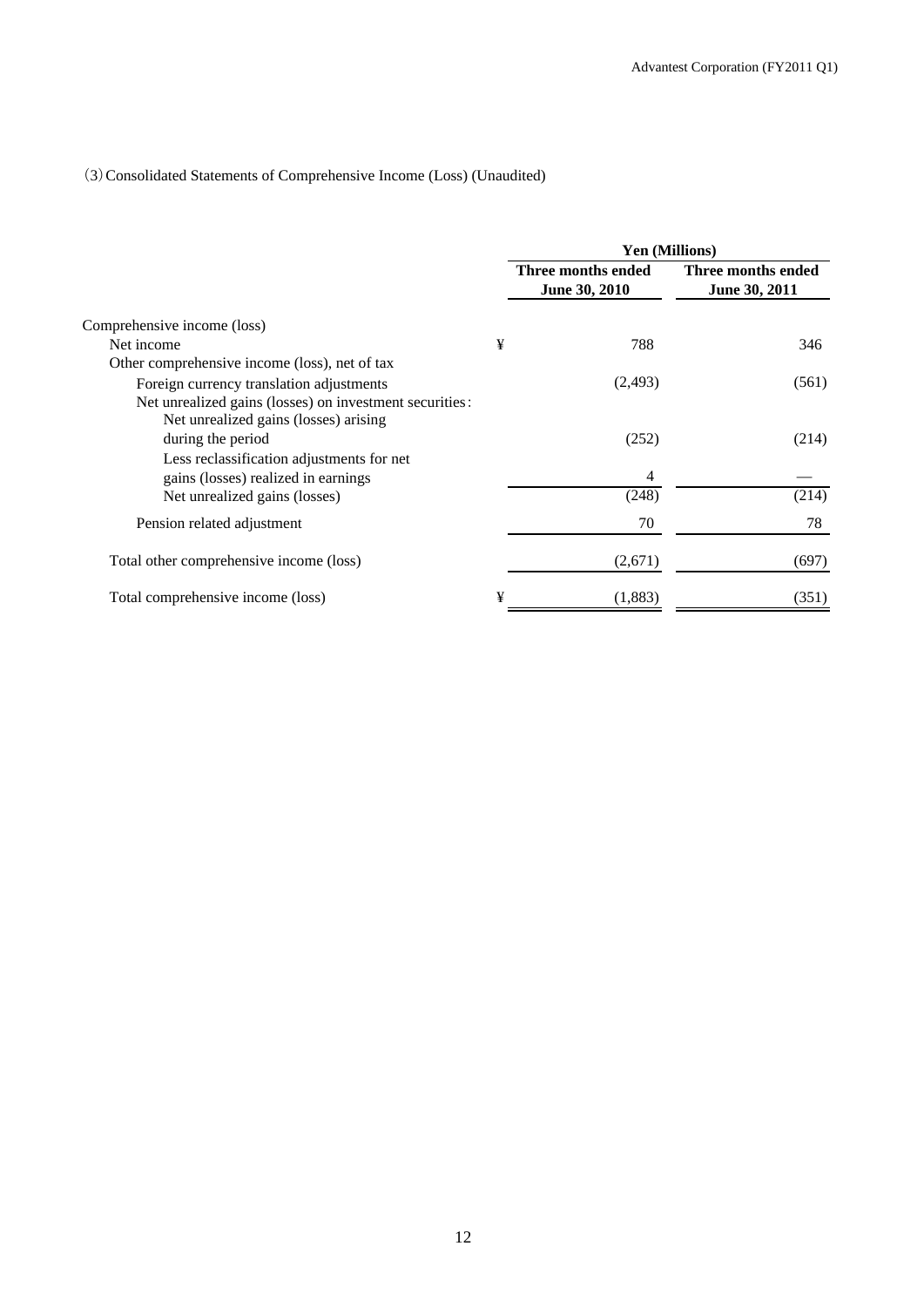# (3)Consolidated Statements of Comprehensive Income (Loss) (Unaudited)

|                                                                                                  |   | <b>Yen (Millions)</b>               |                                     |  |
|--------------------------------------------------------------------------------------------------|---|-------------------------------------|-------------------------------------|--|
|                                                                                                  |   | Three months ended<br>June 30, 2010 | Three months ended<br>June 30, 2011 |  |
| Comprehensive income (loss)                                                                      |   |                                     |                                     |  |
| Net income                                                                                       | ¥ | 788                                 | 346                                 |  |
| Other comprehensive income (loss), net of tax                                                    |   |                                     |                                     |  |
| Foreign currency translation adjustments                                                         |   | (2, 493)                            | (561)                               |  |
| Net unrealized gains (losses) on investment securities:<br>Net unrealized gains (losses) arising |   |                                     |                                     |  |
| during the period                                                                                |   | (252)                               | (214)                               |  |
| Less reclassification adjustments for net                                                        |   |                                     |                                     |  |
| gains (losses) realized in earnings                                                              |   | 4                                   |                                     |  |
| Net unrealized gains (losses)                                                                    |   | (248)                               | (214)                               |  |
| Pension related adjustment                                                                       |   | 70                                  | 78                                  |  |
| Total other comprehensive income (loss)                                                          |   | (2,671)                             | (697)                               |  |
| Total comprehensive income (loss)                                                                | ¥ | (1,883)                             | (351)                               |  |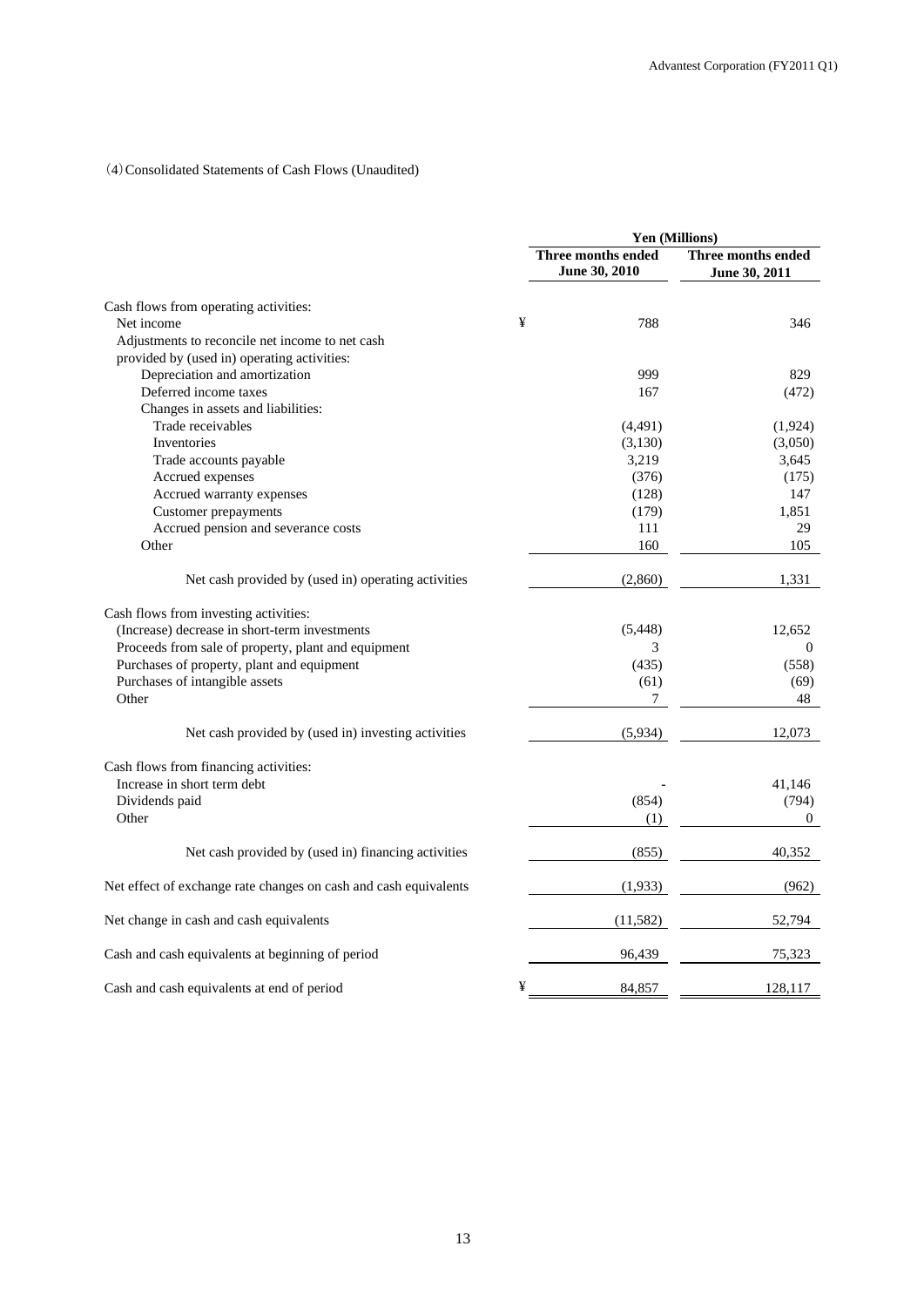# (4)Consolidated Statements of Cash Flows (Unaudited)

|                                                                  |   | Yen (Millions)                      |                                     |  |
|------------------------------------------------------------------|---|-------------------------------------|-------------------------------------|--|
|                                                                  |   | Three months ended<br>June 30, 2010 | Three months ended<br>June 30, 2011 |  |
| Cash flows from operating activities:                            |   |                                     |                                     |  |
| Net income                                                       | ¥ | 788                                 | 346                                 |  |
| Adjustments to reconcile net income to net cash                  |   |                                     |                                     |  |
| provided by (used in) operating activities:                      |   |                                     |                                     |  |
| Depreciation and amortization                                    |   | 999                                 | 829                                 |  |
| Deferred income taxes                                            |   | 167                                 | (472)                               |  |
| Changes in assets and liabilities:                               |   |                                     |                                     |  |
| Trade receivables                                                |   | (4,491)                             | (1,924)                             |  |
| Inventories                                                      |   | (3,130)                             | (3,050)                             |  |
| Trade accounts payable                                           |   | 3,219                               | 3,645                               |  |
| Accrued expenses                                                 |   | (376)                               | (175)                               |  |
| Accrued warranty expenses                                        |   | (128)                               | 147                                 |  |
| Customer prepayments                                             |   | (179)                               | 1,851                               |  |
| Accrued pension and severance costs                              |   | 111                                 | 29                                  |  |
| Other                                                            |   | 160                                 | 105                                 |  |
|                                                                  |   |                                     |                                     |  |
| Net cash provided by (used in) operating activities              |   | (2,860)                             | 1,331                               |  |
| Cash flows from investing activities:                            |   |                                     |                                     |  |
| (Increase) decrease in short-term investments                    |   | (5, 448)                            | 12,652                              |  |
| Proceeds from sale of property, plant and equipment              |   | 3                                   | $\boldsymbol{0}$                    |  |
| Purchases of property, plant and equipment                       |   | (435)                               | (558)                               |  |
| Purchases of intangible assets                                   |   | (61)                                | (69)                                |  |
| Other                                                            |   | 7                                   | 48                                  |  |
|                                                                  |   |                                     |                                     |  |
| Net cash provided by (used in) investing activities              |   | (5,934)                             | 12,073                              |  |
| Cash flows from financing activities:                            |   |                                     |                                     |  |
| Increase in short term debt                                      |   |                                     | 41,146                              |  |
| Dividends paid                                                   |   | (854)                               | (794)                               |  |
| Other                                                            |   | (1)                                 | $\overline{0}$                      |  |
|                                                                  |   |                                     |                                     |  |
| Net cash provided by (used in) financing activities              |   | (855)                               | 40,352                              |  |
| Net effect of exchange rate changes on cash and cash equivalents |   | (1,933)                             | (962)                               |  |
| Net change in cash and cash equivalents                          |   | (11, 582)                           | 52,794                              |  |
| Cash and cash equivalents at beginning of period                 |   | 96,439                              | 75,323                              |  |
| Cash and cash equivalents at end of period                       | ¥ | 84,857                              | 128,117                             |  |